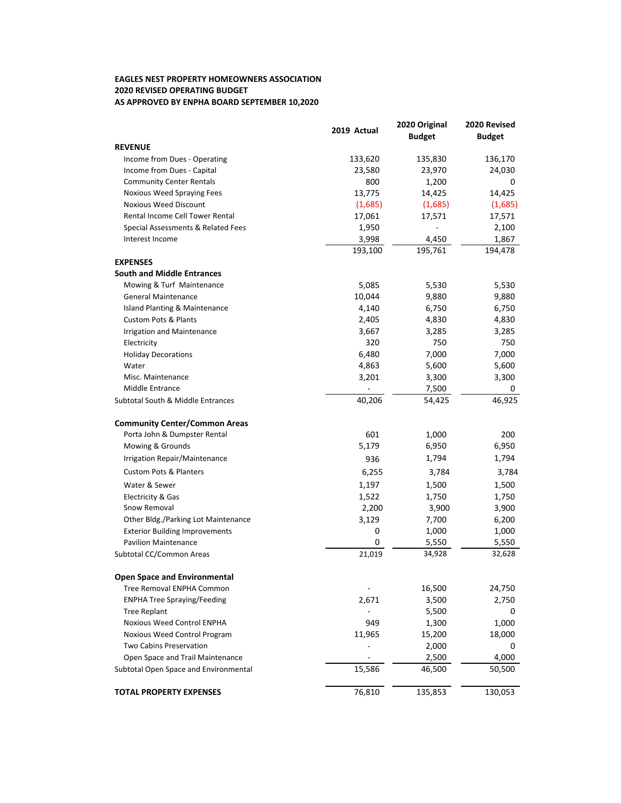## **EAGLES NEST PROPERTY HOMEOWNERS ASSOCIATION AS APPROVED BY ENPHA BOARD SEPTEMBER 10,2020 2020 REVISED OPERATING BUDGET**

|                                       | 2019 Actual | 2020 Original<br><b>Budget</b> | 2020 Revised<br><b>Budget</b> |
|---------------------------------------|-------------|--------------------------------|-------------------------------|
| <b>REVENUE</b>                        |             |                                |                               |
| Income from Dues - Operating          | 133,620     | 135,830                        | 136,170                       |
| Income from Dues - Capital            | 23,580      | 23,970                         | 24,030                        |
| <b>Community Center Rentals</b>       | 800         | 1,200                          | 0                             |
| Noxious Weed Spraying Fees            | 13,775      | 14,425                         | 14,425                        |
| <b>Noxious Weed Discount</b>          | (1,685)     | (1,685)                        | (1,685)                       |
| Rental Income Cell Tower Rental       | 17,061      | 17,571                         | 17,571                        |
| Special Assessments & Related Fees    | 1,950       |                                | 2,100                         |
| Interest Income                       | 3,998       | 4,450                          | 1,867                         |
|                                       | 193,100     | 195,761                        | 194,478                       |
| <b>EXPENSES</b>                       |             |                                |                               |
| <b>South and Middle Entrances</b>     |             |                                |                               |
| Mowing & Turf Maintenance             | 5,085       | 5,530                          | 5,530                         |
| <b>General Maintenance</b>            | 10,044      | 9,880                          | 9,880                         |
| Island Planting & Maintenance         | 4,140       | 6,750                          | 6,750                         |
| <b>Custom Pots &amp; Plants</b>       | 2,405       | 4,830                          | 4,830                         |
| <b>Irrigation and Maintenance</b>     | 3,667       | 3,285                          | 3,285                         |
| Electricity                           | 320         | 750                            | 750                           |
| <b>Holiday Decorations</b>            | 6,480       | 7,000                          | 7,000                         |
| Water                                 | 4,863       | 5,600                          | 5,600                         |
| Misc. Maintenance                     | 3,201       | 3,300                          | 3,300                         |
| Middle Entrance                       |             | 7,500                          | 0                             |
| Subtotal South & Middle Entrances     | 40,206      | 54,425                         | 46,925                        |
|                                       |             |                                |                               |
| <b>Community Center/Common Areas</b>  |             |                                |                               |
| Porta John & Dumpster Rental          | 601         | 1,000                          | 200                           |
| Mowing & Grounds                      | 5,179       | 6,950                          | 6,950                         |
| Irrigation Repair/Maintenance         | 936         | 1,794                          | 1,794                         |
| <b>Custom Pots &amp; Planters</b>     | 6,255       | 3,784                          | 3,784                         |
| Water & Sewer                         | 1,197       | 1,500                          | 1,500                         |
| Electricity & Gas                     | 1,522       | 1,750                          | 1,750                         |
| Snow Removal                          | 2,200       | 3,900                          | 3,900                         |
| Other Bldg./Parking Lot Maintenance   | 3,129       | 7,700                          | 6,200                         |
| <b>Exterior Building Improvements</b> | 0           | 1,000                          | 1,000                         |
| <b>Pavilion Maintenance</b>           | 0           | 5,550                          | 5,550                         |
| Subtotal CC/Common Areas              | 21,019      | 34,928                         | 32,628                        |
| <b>Open Space and Environmental</b>   |             |                                |                               |
| Tree Removal ENPHA Common             |             | 16,500                         | 24,750                        |
| <b>ENPHA Tree Spraying/Feeding</b>    | 2,671       | 3,500                          | 2,750                         |
| <b>Tree Replant</b>                   |             | 5,500                          | 0                             |
| Noxious Weed Control ENPHA            | 949         | 1,300                          | 1,000                         |
| Noxious Weed Control Program          | 11,965      | 15,200                         | 18,000                        |
| Two Cabins Preservation               |             | 2,000                          | 0                             |
| Open Space and Trail Maintenance      |             | 2,500                          | 4,000                         |
| Subtotal Open Space and Environmental | 15,586      | 46,500                         | 50,500                        |
|                                       |             |                                |                               |
| <b>TOTAL PROPERTY EXPENSES</b>        | 76,810      | 135,853                        | 130,053                       |